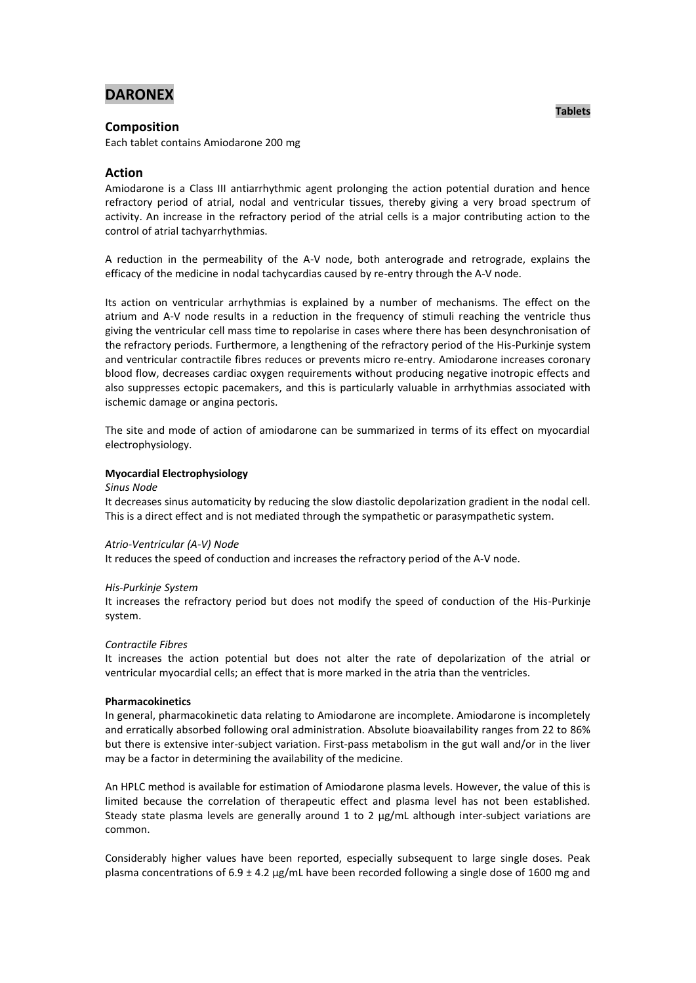# **DARONEX**

## **Composition**

Each tablet contains Amiodarone 200 mg

## **Action**

Amiodarone is a Class III antiarrhythmic agent prolonging the action potential duration and hence refractory period of atrial, nodal and ventricular tissues, thereby giving a very broad spectrum of activity. An increase in the refractory period of the atrial cells is a major contributing action to the control of atrial tachyarrhythmias.

A reduction in the permeability of the A-V node, both anterograde and retrograde, explains the efficacy of the medicine in nodal tachycardias caused by re-entry through the A-V node.

Its action on ventricular arrhythmias is explained by a number of mechanisms. The effect on the atrium and A-V node results in a reduction in the frequency of stimuli reaching the ventricle thus giving the ventricular cell mass time to repolarise in cases where there has been desynchronisation of the refractory periods. Furthermore, a lengthening of the refractory period of the His-Purkinje system and ventricular contractile fibres reduces or prevents micro re-entry. Amiodarone increases coronary blood flow, decreases cardiac oxygen requirements without producing negative inotropic effects and also suppresses ectopic pacemakers, and this is particularly valuable in arrhythmias associated with ischemic damage or angina pectoris.

The site and mode of action of amiodarone can be summarized in terms of its effect on myocardial electrophysiology.

### **Myocardial Electrophysiology**

#### *Sinus Node*

It decreases sinus automaticity by reducing the slow diastolic depolarization gradient in the nodal cell. This is a direct effect and is not mediated through the sympathetic or parasympathetic system.

### *Atrio-Ventricular (A-V) Node*

It reduces the speed of conduction and increases the refractory period of the A-V node.

#### *His-Purkinje System*

It increases the refractory period but does not modify the speed of conduction of the His-Purkinje system.

### *Contractile Fibres*

It increases the action potential but does not alter the rate of depolarization of the atrial or ventricular myocardial cells; an effect that is more marked in the atria than the ventricles.

#### **Pharmacokinetics**

In general, pharmacokinetic data relating to Amiodarone are incomplete. Amiodarone is incompletely and erratically absorbed following oral administration. Absolute bioavailability ranges from 22 to 86% but there is extensive inter-subject variation. First-pass metabolism in the gut wall and/or in the liver may be a factor in determining the availability of the medicine.

An HPLC method is available for estimation of Amiodarone plasma levels. However, the value of this is limited because the correlation of therapeutic effect and plasma level has not been established. Steady state plasma levels are generally around 1 to 2  $\mu$ g/mL although inter-subject variations are common.

Considerably higher values have been reported, especially subsequent to large single doses. Peak plasma concentrations of 6.9 ± 4.2 µg/mL have been recorded following a single dose of 1600 mg and

### **Tablets**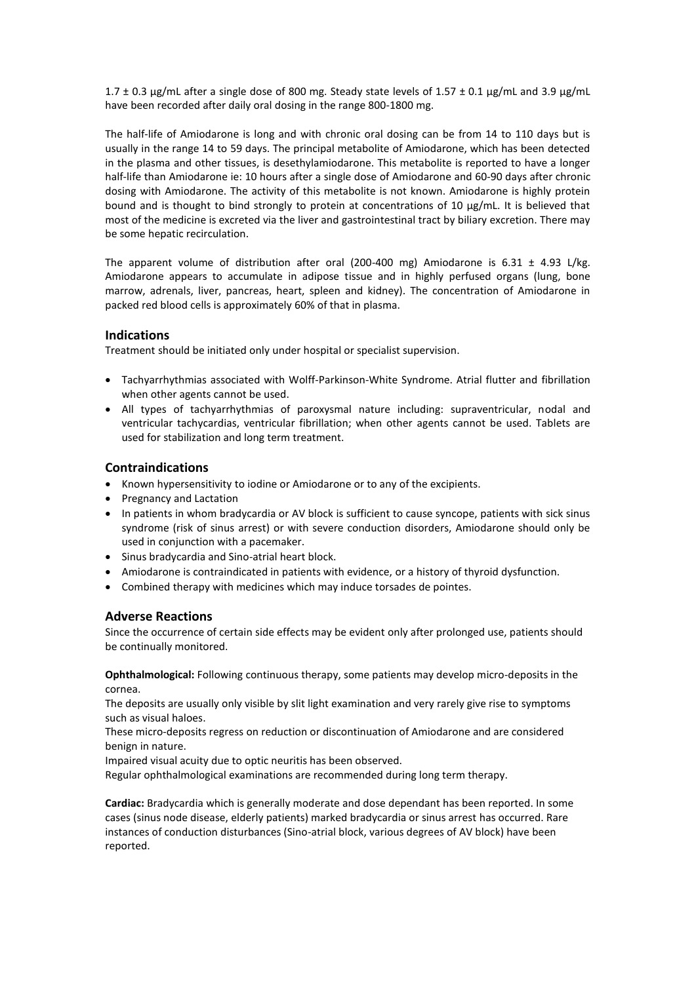1.7  $\pm$  0.3 µg/mL after a single dose of 800 mg. Steady state levels of 1.57  $\pm$  0.1 µg/mL and 3.9 µg/mL have been recorded after daily oral dosing in the range 800-1800 mg.

The half-life of Amiodarone is long and with chronic oral dosing can be from 14 to 110 days but is usually in the range 14 to 59 days. The principal metabolite of Amiodarone, which has been detected in the plasma and other tissues, is desethylamiodarone. This metabolite is reported to have a longer half-life than Amiodarone ie: 10 hours after a single dose of Amiodarone and 60-90 days after chronic dosing with Amiodarone. The activity of this metabolite is not known. Amiodarone is highly protein bound and is thought to bind strongly to protein at concentrations of 10 µg/mL. It is believed that most of the medicine is excreted via the liver and gastrointestinal tract by biliary excretion. There may be some hepatic recirculation.

The apparent volume of distribution after oral (200-400 mg) Amiodarone is  $6.31 \pm 4.93$  L/kg. Amiodarone appears to accumulate in adipose tissue and in highly perfused organs (lung, bone marrow, adrenals, liver, pancreas, heart, spleen and kidney). The concentration of Amiodarone in packed red blood cells is approximately 60% of that in plasma.

## **Indications**

Treatment should be initiated only under hospital or specialist supervision.

- Tachyarrhythmias associated with Wolff-Parkinson-White Syndrome. Atrial flutter and fibrillation when other agents cannot be used.
- All types of tachyarrhythmias of paroxysmal nature including: supraventricular, nodal and ventricular tachycardias, ventricular fibrillation; when other agents cannot be used. Tablets are used for stabilization and long term treatment.

## **Contraindications**

- Known hypersensitivity to iodine or Amiodarone or to any of the excipients.
- Pregnancy and Lactation
- In patients in whom bradycardia or AV block is sufficient to cause syncope, patients with sick sinus syndrome (risk of sinus arrest) or with severe conduction disorders, Amiodarone should only be used in conjunction with a pacemaker.
- Sinus bradycardia and Sino-atrial heart block.
- Amiodarone is contraindicated in patients with evidence, or a history of thyroid dysfunction.
- Combined therapy with medicines which may induce torsades de pointes.

## **Adverse Reactions**

Since the occurrence of certain side effects may be evident only after prolonged use, patients should be continually monitored.

**Ophthalmological:** Following continuous therapy, some patients may develop micro-deposits in the cornea.

The deposits are usually only visible by slit light examination and very rarely give rise to symptoms such as visual haloes.

These micro-deposits regress on reduction or discontinuation of Amiodarone and are considered benign in nature.

Impaired visual acuity due to optic neuritis has been observed.

Regular ophthalmological examinations are recommended during long term therapy.

**Cardiac:** Bradycardia which is generally moderate and dose dependant has been reported. In some cases (sinus node disease, elderly patients) marked bradycardia or sinus arrest has occurred. Rare instances of conduction disturbances (Sino-atrial block, various degrees of AV block) have been reported.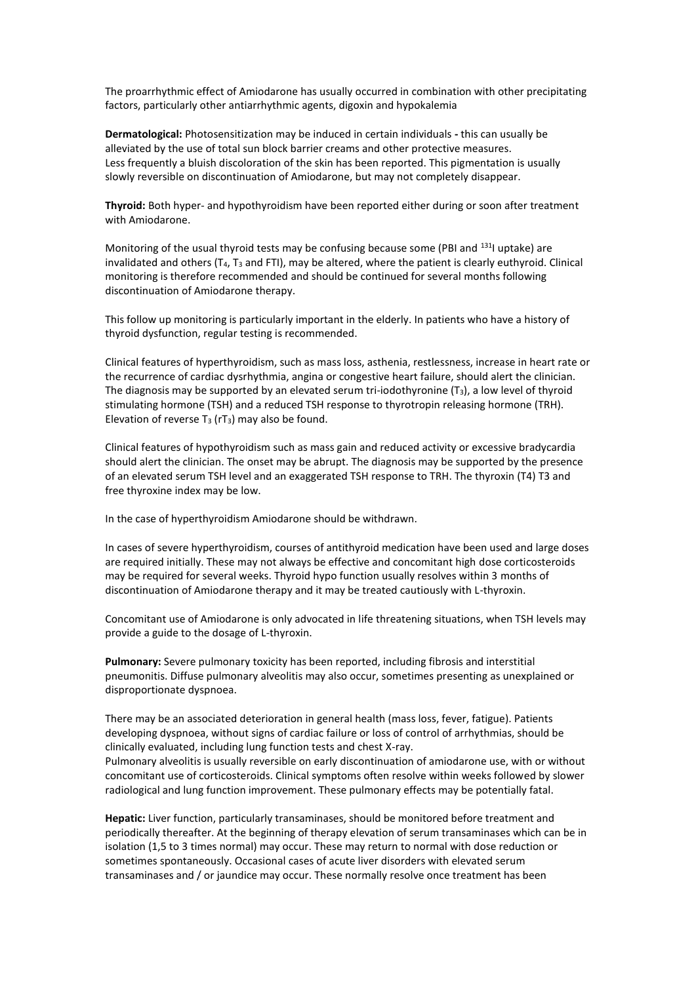The proarrhythmic effect of Amiodarone has usually occurred in combination with other precipitating factors, particularly other antiarrhythmic agents, digoxin and hypokalemia

**Dermatological:** Photosensitization may be induced in certain individuals **-** this can usually be alleviated by the use of total sun block barrier creams and other protective measures. Less frequently a bluish discoloration of the skin has been reported. This pigmentation is usually slowly reversible on discontinuation of Amiodarone, but may not completely disappear.

**Thyroid:** Both hyper- and hypothyroidism have been reported either during or soon after treatment with Amiodarone.

Monitoring of the usual thyroid tests may be confusing because some (PBI and <sup>131</sup>I uptake) are invalidated and others  $(T_4, T_3$  and FTI), may be altered, where the patient is clearly euthyroid. Clinical monitoring is therefore recommended and should be continued for several months following discontinuation of Amiodarone therapy.

This follow up monitoring is particularly important in the elderly. In patients who have a history of thyroid dysfunction, regular testing is recommended.

Clinical features of hyperthyroidism, such as mass loss, asthenia, restlessness, increase in heart rate or the recurrence of cardiac dysrhythmia, angina or congestive heart failure, should alert the clinician. The diagnosis may be supported by an elevated serum tri-iodothyronine  $(T_3)$ , a low level of thyroid stimulating hormone (TSH) and a reduced TSH response to thyrotropin releasing hormone (TRH). Elevation of reverse  $T_3$  (rT<sub>3</sub>) may also be found.

Clinical features of hypothyroidism such as mass gain and reduced activity or excessive bradycardia should alert the clinician. The onset may be abrupt. The diagnosis may be supported by the presence of an elevated serum TSH level and an exaggerated TSH response to TRH. The thyroxin (T4) T3 and free thyroxine index may be low.

In the case of hyperthyroidism Amiodarone should be withdrawn.

In cases of severe hyperthyroidism, courses of antithyroid medication have been used and large doses are required initially. These may not always be effective and concomitant high dose corticosteroids may be required for several weeks. Thyroid hypo function usually resolves within 3 months of discontinuation of Amiodarone therapy and it may be treated cautiously with L-thyroxin.

Concomitant use of Amiodarone is only advocated in life threatening situations, when TSH levels may provide a guide to the dosage of L-thyroxin.

**Pulmonary:** Severe pulmonary toxicity has been reported, including fibrosis and interstitial pneumonitis. Diffuse pulmonary alveolitis may also occur, sometimes presenting as unexplained or disproportionate dyspnoea.

There may be an associated deterioration in general health (mass loss, fever, fatigue). Patients developing dyspnoea, without signs of cardiac failure or loss of control of arrhythmias, should be clinically evaluated, including lung function tests and chest X-ray. Pulmonary alveolitis is usually reversible on early discontinuation of amiodarone use, with or without

concomitant use of corticosteroids. Clinical symptoms often resolve within weeks followed by slower radiological and lung function improvement. These pulmonary effects may be potentially fatal.

**Hepatic:** Liver function, particularly transaminases, should be monitored before treatment and periodically thereafter. At the beginning of therapy elevation of serum transaminases which can be in isolation (1,5 to 3 times normal) may occur. These may return to normal with dose reduction or sometimes spontaneously. Occasional cases of acute liver disorders with elevated serum transaminases and / or jaundice may occur. These normally resolve once treatment has been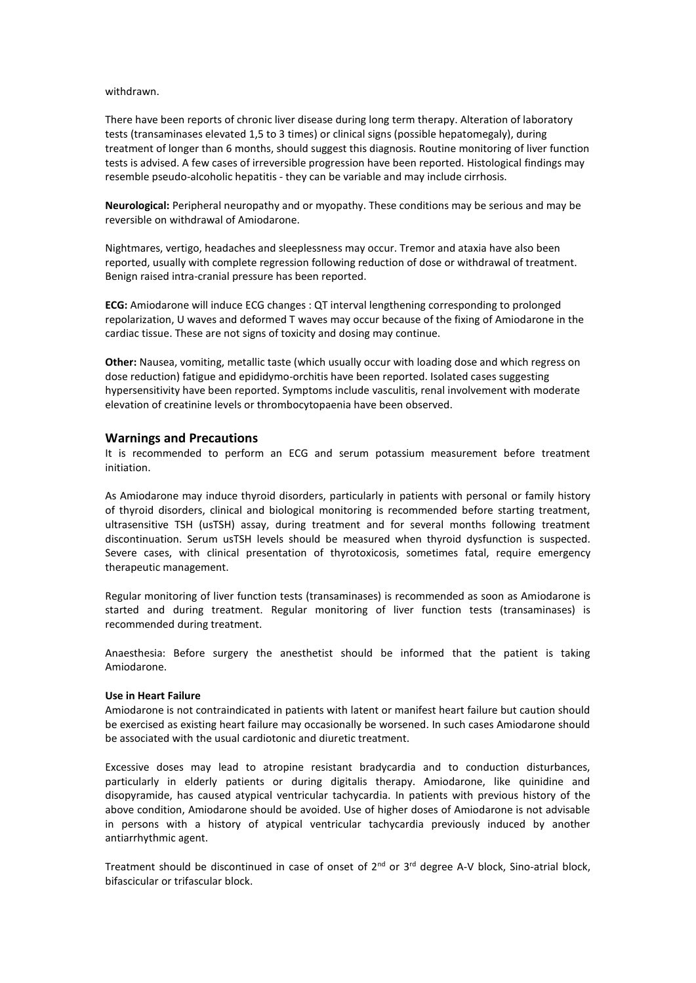#### withdrawn.

There have been reports of chronic liver disease during long term therapy. Alteration of laboratory tests (transaminases elevated 1,5 to 3 times) or clinical signs (possible hepatomegaly), during treatment of longer than 6 months, should suggest this diagnosis. Routine monitoring of liver function tests is advised. A few cases of irreversible progression have been reported. Histological findings may resemble pseudo-alcoholic hepatitis - they can be variable and may include cirrhosis.

**Neurological:** Peripheral neuropathy and or myopathy. These conditions may be serious and may be reversible on withdrawal of Amiodarone.

Nightmares, vertigo, headaches and sleeplessness may occur. Tremor and ataxia have also been reported, usually with complete regression following reduction of dose or withdrawal of treatment. Benign raised intra-cranial pressure has been reported.

**ECG:** Amiodarone will induce ECG changes : QT interval lengthening corresponding to prolonged repolarization, U waves and deformed T waves may occur because of the fixing of Amiodarone in the cardiac tissue. These are not signs of toxicity and dosing may continue.

**Other:** Nausea, vomiting, metallic taste (which usually occur with loading dose and which regress on dose reduction) fatigue and epididymo-orchitis have been reported. Isolated cases suggesting hypersensitivity have been reported. Symptoms include vasculitis, renal involvement with moderate elevation of creatinine levels or thrombocytopaenia have been observed.

## **Warnings and Precautions**

It is recommended to perform an ECG and serum potassium measurement before treatment initiation.

As Amiodarone may induce thyroid disorders, particularly in patients with personal or family history of thyroid disorders, clinical and biological monitoring is recommended before starting treatment, ultrasensitive TSH (usTSH) assay, during treatment and for several months following treatment discontinuation. Serum usTSH levels should be measured when thyroid dysfunction is suspected. Severe cases, with clinical presentation of thyrotoxicosis, sometimes fatal, require emergency therapeutic management.

Regular monitoring of liver function tests (transaminases) is recommended as soon as Amiodarone is started and during treatment. Regular monitoring of liver function tests (transaminases) is recommended during treatment.

Anaesthesia: Before surgery the anesthetist should be informed that the patient is taking Amiodarone.

## **Use in Heart Failure**

Amiodarone is not contraindicated in patients with latent or manifest heart failure but caution should be exercised as existing heart failure may occasionally be worsened. In such cases Amiodarone should be associated with the usual cardiotonic and diuretic treatment.

Excessive doses may lead to atropine resistant bradycardia and to conduction disturbances, particularly in elderly patients or during digitalis therapy. Amiodarone, like quinidine and disopyramide, has caused atypical ventricular tachycardia. In patients with previous history of the above condition, Amiodarone should be avoided. Use of higher doses of Amiodarone is not advisable in persons with a history of atypical ventricular tachycardia previously induced by another antiarrhythmic agent.

Treatment should be discontinued in case of onset of 2<sup>nd</sup> or 3<sup>rd</sup> degree A-V block, Sino-atrial block, bifascicular or trifascular block.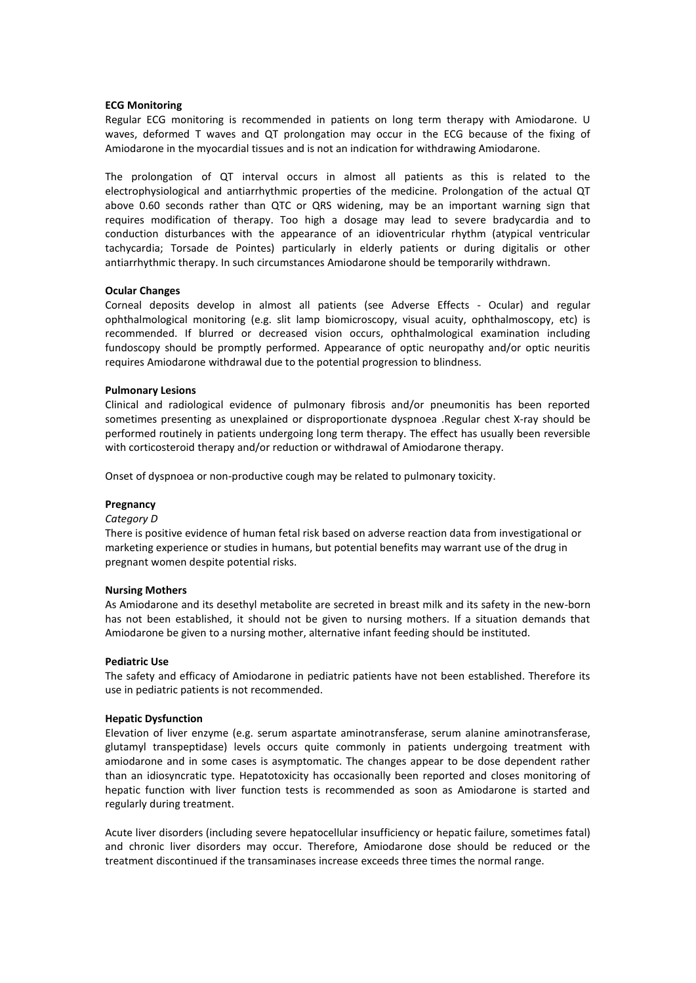### **ECG Monitoring**

Regular ECG monitoring is recommended in patients on long term therapy with Amiodarone. U waves, deformed T waves and QT prolongation may occur in the ECG because of the fixing of Amiodarone in the myocardial tissues and is not an indication for withdrawing Amiodarone.

The prolongation of QT interval occurs in almost all patients as this is related to the electrophysiological and antiarrhythmic properties of the medicine. Prolongation of the actual QT above 0.60 seconds rather than QTC or QRS widening, may be an important warning sign that requires modification of therapy. Too high a dosage may lead to severe bradycardia and to conduction disturbances with the appearance of an idioventricular rhythm (atypical ventricular tachycardia; Torsade de Pointes) particularly in elderly patients or during digitalis or other antiarrhythmic therapy. In such circumstances Amiodarone should be temporarily withdrawn.

#### **Ocular Changes**

Corneal deposits develop in almost all patients (see Adverse Effects - Ocular) and regular ophthalmological monitoring (e.g. slit lamp biomicroscopy, visual acuity, ophthalmoscopy, etc) is recommended. If blurred or decreased vision occurs, ophthalmological examination including fundoscopy should be promptly performed. Appearance of optic neuropathy and/or optic neuritis requires Amiodarone withdrawal due to the potential progression to blindness.

#### **Pulmonary Lesions**

Clinical and radiological evidence of pulmonary fibrosis and/or pneumonitis has been reported sometimes presenting as unexplained or disproportionate dyspnoea .Regular chest X-ray should be performed routinely in patients undergoing long term therapy. The effect has usually been reversible with corticosteroid therapy and/or reduction or withdrawal of Amiodarone therapy.

Onset of dyspnoea or non-productive cough may be related to pulmonary toxicity.

### **Pregnancy**

### *Category D*

There is positive evidence of human fetal risk based on adverse reaction data from investigational or marketing experience or studies in humans, but potential benefits may warrant use of the drug in pregnant women despite potential risks.

#### **Nursing Mothers**

As Amiodarone and its desethyl metabolite are secreted in breast milk and its safety in the new-born has not been established, it should not be given to nursing mothers. If a situation demands that Amiodarone be given to a nursing mother, alternative infant feeding should be instituted.

#### **Pediatric Use**

The safety and efficacy of Amiodarone in pediatric patients have not been established. Therefore its use in pediatric patients is not recommended.

#### **Hepatic Dysfunction**

Elevation of liver enzyme (e.g. serum aspartate aminotransferase, serum alanine aminotransferase, glutamyl transpeptidase) levels occurs quite commonly in patients undergoing treatment with amiodarone and in some cases is asymptomatic. The changes appear to be dose dependent rather than an idiosyncratic type. Hepatotoxicity has occasionally been reported and closes monitoring of hepatic function with liver function tests is recommended as soon as Amiodarone is started and regularly during treatment.

Acute liver disorders (including severe hepatocellular insufficiency or hepatic failure, sometimes fatal) and chronic liver disorders may occur. Therefore, Amiodarone dose should be reduced or the treatment discontinued if the transaminases increase exceeds three times the normal range.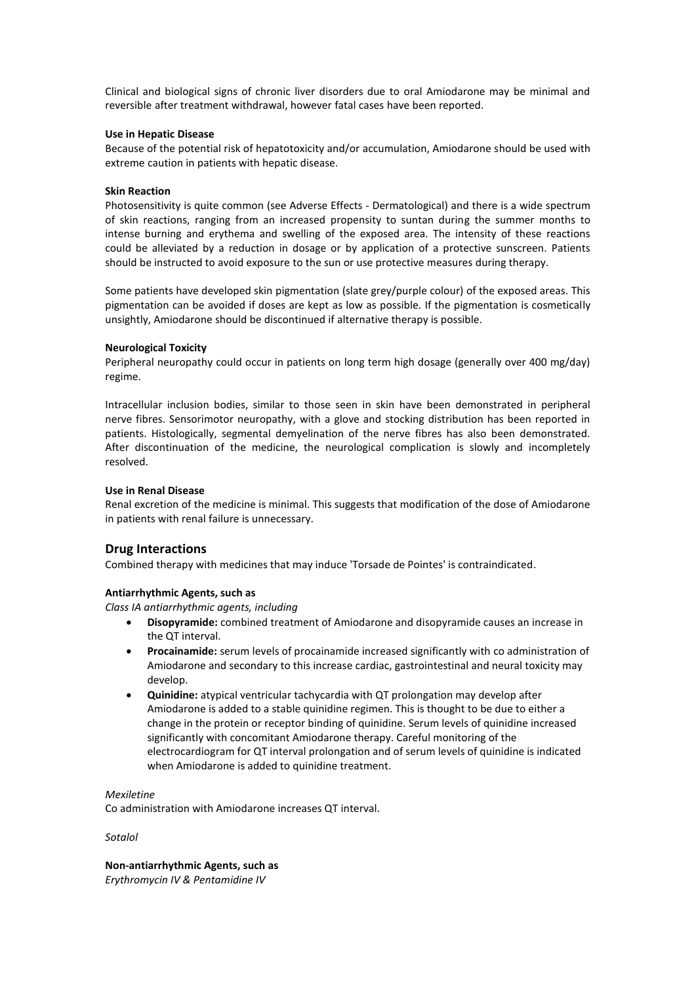Clinical and biological signs of chronic liver disorders due to oral Amiodarone may be minimal and reversible after treatment withdrawal, however fatal cases have been reported.

## **Use in Hepatic Disease**

Because of the potential risk of hepatotoxicity and/or accumulation, Amiodarone should be used with extreme caution in patients with hepatic disease.

## **Skin Reaction**

Photosensitivity is quite common (see Adverse Effects - Dermatological) and there is a wide spectrum of skin reactions, ranging from an increased propensity to suntan during the summer months to intense burning and erythema and swelling of the exposed area. The intensity of these reactions could be alleviated by a reduction in dosage or by application of a protective sunscreen. Patients should be instructed to avoid exposure to the sun or use protective measures during therapy.

Some patients have developed skin pigmentation (slate grey/purple colour) of the exposed areas. This pigmentation can be avoided if doses are kept as low as possible. If the pigmentation is cosmetically unsightly, Amiodarone should be discontinued if alternative therapy is possible.

## **Neurological Toxicity**

Peripheral neuropathy could occur in patients on long term high dosage (generally over 400 mg/day) regime.

Intracellular inclusion bodies, similar to those seen in skin have been demonstrated in peripheral nerve fibres. Sensorimotor neuropathy, with a glove and stocking distribution has been reported in patients. Histologically, segmental demyelination of the nerve fibres has also been demonstrated. After discontinuation of the medicine, the neurological complication is slowly and incompletely resolved.

## **Use in Renal Disease**

Renal excretion of the medicine is minimal. This suggests that modification of the dose of Amiodarone in patients with renal failure is unnecessary.

## **Drug Interactions**

Combined therapy with medicines that may induce 'Torsade de Pointes' is contraindicated.

## **Antiarrhythmic Agents, such as**

*Class IA antiarrhythmic agents, including*

- **Disopyramide:** combined treatment of Amiodarone and disopyramide causes an increase in the QT interval.
- **Procainamide:** serum levels of procainamide increased significantly with co administration of Amiodarone and secondary to this increase cardiac, gastrointestinal and neural toxicity may develop.
- **Quinidine:** atypical ventricular tachycardia with QT prolongation may develop after Amiodarone is added to a stable quinidine regimen. This is thought to be due to either a change in the protein or receptor binding of quinidine. Serum levels of quinidine increased significantly with concomitant Amiodarone therapy. Careful monitoring of the electrocardiogram for QT interval prolongation and of serum levels of quinidine is indicated when Amiodarone is added to quinidine treatment.

### *Mexiletine*

Co administration with Amiodarone increases QT interval.

### *Sotalol*

**Non-antiarrhythmic Agents, such as** *Erythromycin IV & Pentamidine IV*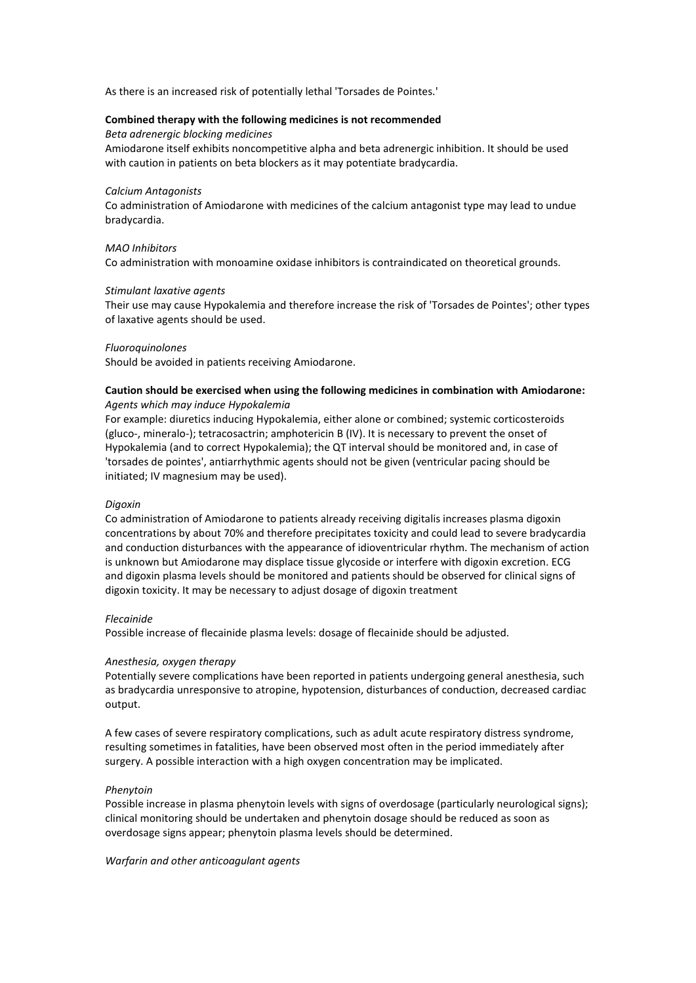As there is an increased risk of potentially lethal 'Torsades de Pointes.'

### **Combined therapy with the following medicines is not recommended**

*Beta adrenergic blocking medicines*

Amiodarone itself exhibits noncompetitive alpha and beta adrenergic inhibition. It should be used with caution in patients on beta blockers as it may potentiate bradycardia.

#### *Calcium Antagonists*

Co administration of Amiodarone with medicines of the calcium antagonist type may lead to undue bradycardia.

### *MAO Inhibitors*

Co administration with monoamine oxidase inhibitors is contraindicated on theoretical grounds.

#### *Stimulant laxative agents*

Their use may cause Hypokalemia and therefore increase the risk of 'Torsades de Pointes'; other types of laxative agents should be used.

#### *Fluoroquinolones*

Should be avoided in patients receiving Amiodarone.

## **Caution should be exercised when using the following medicines in combination with Amiodarone:** *Agents which may induce Hypokalemia*

For example: diuretics inducing Hypokalemia, either alone or combined; systemic corticosteroids (gluco-, mineralo-); tetracosactrin; amphotericin B (IV). It is necessary to prevent the onset of Hypokalemia (and to correct Hypokalemia); the QT interval should be monitored and, in case of 'torsades de pointes', antiarrhythmic agents should not be given (ventricular pacing should be initiated; IV magnesium may be used).

### *Digoxin*

Co administration of Amiodarone to patients already receiving digitalis increases plasma digoxin concentrations by about 70% and therefore precipitates toxicity and could lead to severe bradycardia and conduction disturbances with the appearance of idioventricular rhythm. The mechanism of action is unknown but Amiodarone may displace tissue glycoside or interfere with digoxin excretion. ECG and digoxin plasma levels should be monitored and patients should be observed for clinical signs of digoxin toxicity. It may be necessary to adjust dosage of digoxin treatment

### *Flecainide*

Possible increase of flecainide plasma levels: dosage of flecainide should be adjusted.

### *Anesthesia, oxygen therapy*

Potentially severe complications have been reported in patients undergoing general anesthesia, such as bradycardia unresponsive to atropine, hypotension, disturbances of conduction, decreased cardiac output.

A few cases of severe respiratory complications, such as adult acute respiratory distress syndrome, resulting sometimes in fatalities, have been observed most often in the period immediately after surgery. A possible interaction with a high oxygen concentration may be implicated.

### *Phenytoin*

Possible increase in plasma phenytoin levels with signs of overdosage (particularly neurological signs); clinical monitoring should be undertaken and phenytoin dosage should be reduced as soon as overdosage signs appear; phenytoin plasma levels should be determined.

### *Warfarin and other anticoagulant agents*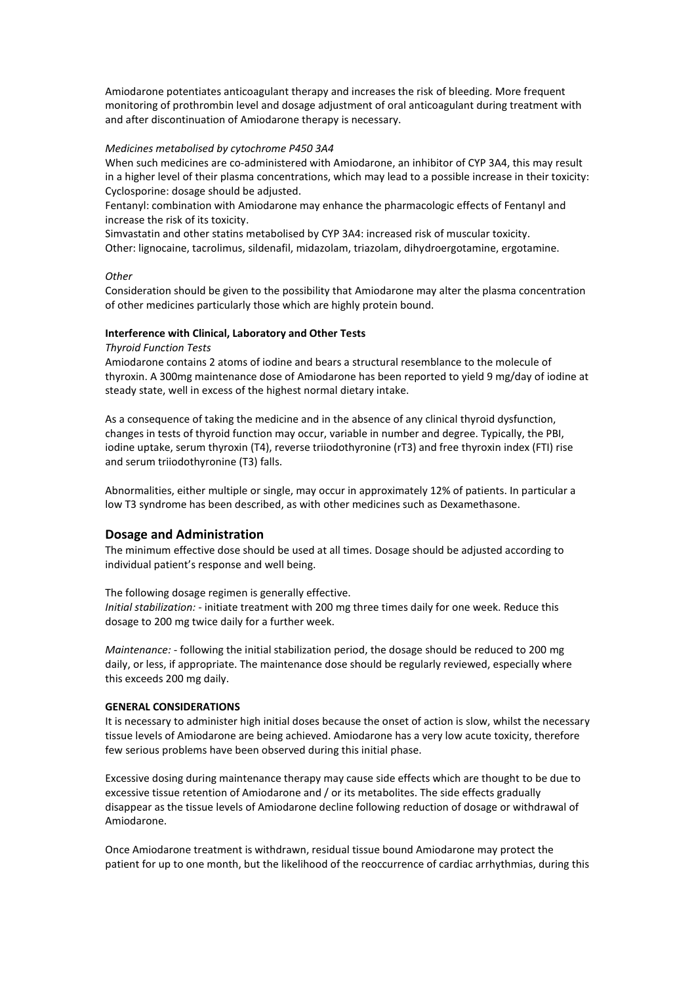Amiodarone potentiates anticoagulant therapy and increases the risk of bleeding. More frequent monitoring of prothrombin level and dosage adjustment of oral anticoagulant during treatment with and after discontinuation of Amiodarone therapy is necessary.

## *Medicines metabolised by cytochrome P450 3A4*

When such medicines are co-administered with Amiodarone, an inhibitor of CYP 3A4, this may result in a higher level of their plasma concentrations, which may lead to a possible increase in their toxicity: Cyclosporine: dosage should be adjusted.

Fentanyl: combination with Amiodarone may enhance the pharmacologic effects of Fentanyl and increase the risk of its toxicity.

Simvastatin and other statins metabolised by CYP 3A4: increased risk of muscular toxicity. Other: lignocaine, tacrolimus, sildenafil, midazolam, triazolam, dihydroergotamine, ergotamine.

## *Other*

Consideration should be given to the possibility that Amiodarone may alter the plasma concentration of other medicines particularly those which are highly protein bound.

### **Interference with Clinical, Laboratory and Other Tests**

#### *Thyroid Function Tests*

Amiodarone contains 2 atoms of iodine and bears a structural resemblance to the molecule of thyroxin. A 300mg maintenance dose of Amiodarone has been reported to yield 9 mg/day of iodine at steady state, well in excess of the highest normal dietary intake.

As a consequence of taking the medicine and in the absence of any clinical thyroid dysfunction, changes in tests of thyroid function may occur, variable in number and degree. Typically, the PBI, iodine uptake, serum thyroxin (T4), reverse triiodothyronine (rT3) and free thyroxin index (FTI) rise and serum triiodothyronine (T3) falls.

Abnormalities, either multiple or single, may occur in approximately 12% of patients. In particular a low T3 syndrome has been described, as with other medicines such as Dexamethasone.

## **Dosage and Administration**

The minimum effective dose should be used at all times. Dosage should be adjusted according to individual patient's response and well being.

### The following dosage regimen is generally effective.

*Initial stabilization: -* initiate treatment with 200 mg three times daily for one week. Reduce this dosage to 200 mg twice daily for a further week.

*Maintenance: -* following the initial stabilization period, the dosage should be reduced to 200 mg daily, or less, if appropriate. The maintenance dose should be regularly reviewed, especially where this exceeds 200 mg daily.

#### **GENERAL CONSIDERATIONS**

It is necessary to administer high initial doses because the onset of action is slow, whilst the necessary tissue levels of Amiodarone are being achieved. Amiodarone has a very low acute toxicity, therefore few serious problems have been observed during this initial phase.

Excessive dosing during maintenance therapy may cause side effects which are thought to be due to excessive tissue retention of Amiodarone and / or its metabolites. The side effects gradually disappear as the tissue levels of Amiodarone decline following reduction of dosage or withdrawal of Amiodarone.

Once Amiodarone treatment is withdrawn, residual tissue bound Amiodarone may protect the patient for up to one month, but the likelihood of the reoccurrence of cardiac arrhythmias, during this